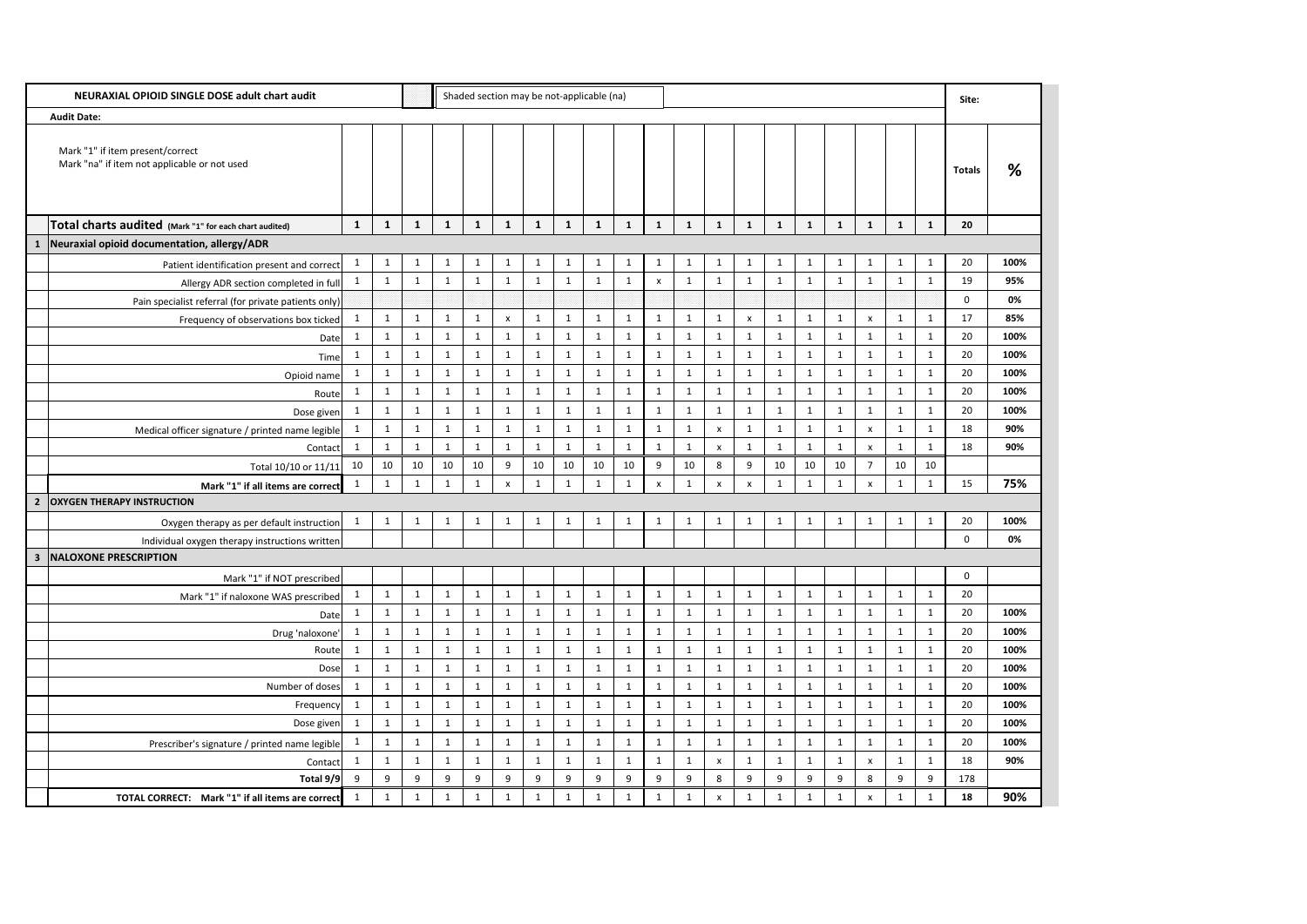| NEURAXIAL OPIOID SINGLE DOSE adult chart audit |                                                                                  |              |              |              |              | Shaded section may be not-applicable (na) |                           |              |              |              |              |                           |              |                    |                           |              | Site:        |              |                           |              |              |               |      |
|------------------------------------------------|----------------------------------------------------------------------------------|--------------|--------------|--------------|--------------|-------------------------------------------|---------------------------|--------------|--------------|--------------|--------------|---------------------------|--------------|--------------------|---------------------------|--------------|--------------|--------------|---------------------------|--------------|--------------|---------------|------|
| <b>Audit Date:</b>                             |                                                                                  |              |              |              |              |                                           |                           |              |              |              |              |                           |              |                    |                           |              |              |              |                           |              |              |               |      |
|                                                | Mark "1" if item present/correct<br>Mark "na" if item not applicable or not used |              |              |              |              |                                           |                           |              |              |              |              |                           |              |                    |                           |              |              |              |                           |              |              | <b>Totals</b> | %    |
|                                                | Total charts audited (Mark "1" for each chart audited)                           | $\mathbf{1}$ | 1            | $\mathbf{1}$ | $\mathbf{1}$ | $\mathbf{1}$                              | $\mathbf{1}$              | 1            | $\mathbf{1}$ | $\mathbf{1}$ | $\mathbf{1}$ | 1                         | 1            | $\mathbf{1}$       | 1                         | 1            | $\mathbf{1}$ | $\mathbf{1}$ | $\mathbf{1}$              | 1            | $\mathbf{1}$ | 20            |      |
| $\mathbf 1$                                    | Neuraxial opioid documentation, allergy/ADR                                      |              |              |              |              |                                           |                           |              |              |              |              |                           |              |                    |                           |              |              |              |                           |              |              |               |      |
|                                                | Patient identification present and correct                                       | -1           | 1            | $\mathbf 1$  | $\mathbf{1}$ | 1                                         | $\mathbf{1}$              |              | $\mathbf{1}$ | 1            | 1            | -1                        | $\mathbf{1}$ | 1                  | $\mathbf{1}$              | -1           | 1            | 1            | 1                         | $\mathbf{1}$ | 1            | 20            | 100% |
|                                                | Allergy ADR section completed in full                                            | $\mathbf{1}$ | $\mathbf{1}$ | $\mathbf{1}$ | $\mathbf{1}$ | $\mathbf{1}$                              | $\mathbf{1}$              | $\mathbf{1}$ | $\mathbf{1}$ | $\mathbf{1}$ | $\mathbf{1}$ | $\boldsymbol{\mathsf{x}}$ | $\mathbf{1}$ | 1                  | $\mathbf{1}$              | $\mathbf{1}$ | $\mathbf{1}$ | 1            | $\mathbf{1}$              | $\mathbf{1}$ | $\mathbf{1}$ | 19            | 95%  |
|                                                | Pain specialist referral (for private patients only)                             |              |              |              |              |                                           |                           |              |              |              |              |                           |              |                    |                           |              |              |              |                           |              |              | $\mathbf{0}$  | 0%   |
|                                                | Frequency of observations box ticked                                             | $\mathbf 1$  | -1           | $\mathbf{1}$ | $\mathbf{1}$ | $\mathbf{1}$                              | $\boldsymbol{\mathsf{x}}$ |              | 1            | 1            | $\mathbf{1}$ |                           | $\mathbf{1}$ | 1                  | $\boldsymbol{\mathsf{x}}$ |              | -1           |              | $\mathsf{x}$              | $\mathbf 1$  | 1            | 17            | 85%  |
|                                                | Date                                                                             | $\mathbf 1$  | -1           | $\mathbf 1$  | $\mathbf{1}$ | $\mathbf{1}$                              | $\mathbf{1}$              |              | $\mathbf{1}$ | $\mathbf{1}$ | $\mathbf{1}$ |                           | $\mathbf{1}$ | $\mathbf{1}$       | $\mathbf{1}$              |              |              |              | 1                         | $\mathbf{1}$ | $\mathbf{1}$ | 20            | 100% |
|                                                | Time                                                                             | -1           | 1            | -1           | $\mathbf{1}$ | $\mathbf{1}$                              | $\mathbf{1}$              |              | $\mathbf{1}$ | $\mathbf{1}$ | $\mathbf{1}$ |                           | $\mathbf{1}$ | $\mathbf{1}$       | $\mathbf{1}$              | -1           |              | 1            | 1                         | $\mathbf 1$  | $\mathbf{1}$ | 20            | 100% |
|                                                | Opioid name                                                                      | $\mathbf{1}$ | 1            | 1            | $\mathbf{1}$ | 1                                         | $\mathbf{1}$              | 1            | $\mathbf{1}$ | $\mathbf{1}$ | $\mathbf{1}$ | 1                         | $\mathbf{1}$ | $\mathbf{1}$       | $\mathbf{1}$              | $\mathbf{1}$ | $\mathbf{1}$ | 1            | $\mathbf{1}$              | $\mathbf{1}$ | $\mathbf{1}$ | 20            | 100% |
|                                                | Route                                                                            | $\mathbf 1$  | 1            |              | 1            | $\mathbf{1}$                              | $\mathbf{1}$              |              | $\mathbf{1}$ | $\mathbf{1}$ | $\mathbf{1}$ |                           | $\mathbf{1}$ | $\mathbf{1}$       | $\mathbf{1}$              |              | 1            | $\mathbf{1}$ | $\mathbf{1}$              | $\mathbf{1}$ | $\mathbf{1}$ | 20            | 100% |
|                                                | Dose given                                                                       | -1           | $\mathbf 1$  |              | $\mathbf{1}$ | $\mathbf{1}$                              | $\mathbf{1}$              |              | 1            | 1            | 1            |                           | $\mathbf{1}$ | $\overline{1}$     | $\mathbf{1}$              |              |              |              | $\mathbf{1}$              | $\mathbf{1}$ | 1            | 20            | 100% |
|                                                | Medical officer signature / printed name legible                                 | 1            | $\mathbf{1}$ | 1            | $\mathbf{1}$ | 1                                         | $\mathbf{1}$              |              | $\mathbf{1}$ | $\mathbf{1}$ | $\mathbf{1}$ |                           | 1            | X                  | $\mathbf{1}$              | $\mathbf{1}$ | $\mathbf{1}$ | 1            | $\boldsymbol{\mathsf{x}}$ | $\mathbf{1}$ | $\mathbf{1}$ | 18            | 90%  |
|                                                | Contact                                                                          |              |              |              | $\mathbf{1}$ | $\mathbf{1}$                              | $\mathbf{1}$              |              | $\mathbf{1}$ | $\mathbf{1}$ | $\mathbf{1}$ |                           | 1            | X                  | $\mathbf{1}$              |              |              |              | $\mathsf{x}$              | $\mathbf{1}$ | $\mathbf 1$  | 18            | 90%  |
|                                                | Total 10/10 or 11/11                                                             | 10           | 10           | 10           | 10           | 10                                        | 9                         | 10           | 10           | 10           | 10           | 9                         | 10           | 8                  | 9                         | 10           | 10           | 10           | $\overline{7}$            | 10           | 10           |               |      |
|                                                | Mark "1" if all items are correct                                                | -1           | 1            | 1            | $\mathbf{1}$ | 1                                         | $\mathsf{x}$              |              | $\mathbf{1}$ | 1            | $\mathbf{1}$ | x                         | $\mathbf{1}$ | $\mathsf{x}$       | $\boldsymbol{\mathsf{x}}$ |              | 1            | 1            | $\mathsf{x}$              | $\mathbf 1$  | $\mathbf{1}$ | 15            | 75%  |
|                                                | 2   OXYGEN THERAPY INSTRUCTION                                                   |              |              |              |              |                                           |                           |              |              |              |              |                           |              |                    |                           |              |              |              |                           |              |              |               |      |
|                                                | Oxygen therapy as per default instruction                                        | $\mathbf{1}$ | $\mathbf{1}$ | $\mathbf{1}$ | $\mathbf{1}$ | $\mathbf{1}$                              | $\mathbf{1}$              |              | $\mathbf{1}$ | $\mathbf{1}$ | $\mathbf{1}$ | 1                         | $\mathbf{1}$ | $\mathbf{1}$       | $\mathbf{1}$              | $\mathbf{1}$ | $\mathbf{1}$ | $\mathbf{1}$ | 1                         | $\mathbf 1$  | $\mathbf{1}$ | 20            | 100% |
|                                                | Individual oxygen therapy instructions written                                   |              |              |              |              |                                           |                           |              |              |              |              |                           |              |                    |                           |              |              |              |                           |              |              | 0             | 0%   |
| 3 <sup>1</sup>                                 | <b>NALOXONE PRESCRIPTION</b>                                                     |              |              |              |              |                                           |                           |              |              |              |              |                           |              |                    |                           |              |              |              |                           |              |              |               |      |
|                                                | Mark "1" if NOT prescribed                                                       |              |              |              |              |                                           |                           |              |              |              |              |                           |              |                    |                           |              |              |              |                           |              |              | $\mathbf 0$   |      |
|                                                | Mark "1" if naloxone WAS prescribed                                              | $\mathbf{1}$ | $\mathbf{1}$ | 1            | $\mathbf{1}$ | $\mathbf{1}$                              | $\mathbf{1}$              |              | $\mathbf{1}$ | $\mathbf{1}$ | $\mathbf{1}$ |                           | $\mathbf{1}$ | $\mathbf{1}$       | $\mathbf{1}$              | $\mathbf{1}$ | $\mathbf{1}$ | 1            | 1                         | $\mathbf{1}$ | $\mathbf{1}$ | 20            |      |
|                                                | Date                                                                             | $\mathbf{1}$ | $\mathbf{1}$ | $\mathbf{1}$ | $\mathbf{1}$ | $\mathbf{1}$                              | $\mathbf{1}$              | $\mathbf{1}$ | $\mathbf{1}$ | $\mathbf{1}$ | $\mathbf{1}$ | -1                        | $\mathbf{1}$ | 1                  | $\mathbf{1}$              | $\mathbf{1}$ | $\mathbf{1}$ | 1            | $\mathbf{1}$              | $\mathbf{1}$ | $\mathbf{1}$ | 20            | 100% |
|                                                | Drug 'naloxone'                                                                  | $\mathbf 1$  | 1            | 1            | $\mathbf{1}$ | $\mathbf{1}$                              | $\mathbf{1}$              |              | $\mathbf{1}$ | $\mathbf{1}$ | $\mathbf{1}$ |                           | $\mathbf{1}$ | $\mathbf{1}$       | $\mathbf{1}$              | $\mathbf{1}$ | $\mathbf{1}$ | $\mathbf{1}$ | $\mathbf{1}$              | $\mathbf{1}$ | $\mathbf{1}$ | 20            | 100% |
|                                                | Route                                                                            | $\mathbf{1}$ | $\mathbf{1}$ | 1            | $\mathbf{1}$ | $\mathbf{1}$                              | $\mathbf{1}$              |              | $\mathbf{1}$ | $\mathbf{1}$ | $\mathbf{1}$ |                           | 1            | $\overline{1}$     | $\mathbf{1}$              | -1           | 1            | $\mathbf{1}$ | 1                         | $\mathbf{1}$ | $\mathbf{1}$ | 20            | 100% |
|                                                | Dose                                                                             | $\mathbf{1}$ | $\mathbf{1}$ | $\mathbf{1}$ | 1            | $\mathbf{1}$                              | $\mathbf{1}$              | $\mathbf{1}$ | $\mathbf{1}$ | $\mathbf{1}$ | $\mathbf{1}$ | $\mathbf{1}$              | $\mathbf{1}$ | $\mathbf{1}$       | $\mathbf{1}$              | $\mathbf{1}$ | $\mathbf{1}$ | $\mathbf{1}$ | $\mathbf{1}$              | $\mathbf{1}$ | $\mathbf{1}$ | 20            | 100% |
|                                                | Number of doses                                                                  | $\mathbf{1}$ | 1            |              | 1            | $\mathbf{1}$                              | $\mathbf{1}$              |              | $\mathbf{1}$ | $\mathbf{1}$ | $\mathbf{1}$ |                           | $\mathbf{1}$ | 1                  | $\mathbf{1}$              | $\mathbf{1}$ | 1            |              | 1                         | $\mathbf{1}$ | $\mathbf{1}$ | 20            | 100% |
|                                                | Frequency                                                                        | $\mathbf{1}$ | $\mathbf{1}$ | $\mathbf 1$  | $\mathbf{1}$ | $\mathbf{1}$                              | $\mathbf{1}$              | $\mathbf{1}$ | $\mathbf{1}$ | $\mathbf{1}$ | $\mathbf{1}$ | 1                         | $\mathbf{1}$ | 1                  | $\mathbf{1}$              | $\mathbf{1}$ | 1            | 1            | $\mathbf{1}$              | $\mathbf{1}$ | $\mathbf{1}$ | 20            | 100% |
|                                                | Dose given                                                                       | $\mathbf{1}$ | 1            | 1            | $\mathbf{1}$ | $\mathbf{1}$                              | $\mathbf{1}$              |              | $\mathbf{1}$ | $\mathbf{1}$ | $\mathbf{1}$ |                           | $\mathbf{1}$ | $\mathbf{1}$       | $\mathbf{1}$              |              | $\mathbf{1}$ | 1            | $\mathbf{1}$              | $\mathbf{1}$ | $\mathbf{1}$ | 20            | 100% |
|                                                | Prescriber's signature / printed name legible                                    | $\mathbf{1}$ | $\mathbf{1}$ | $\mathbf{1}$ | 1            | $\mathbf{1}$                              | $\mathbf{1}$              |              | $\mathbf{1}$ | $\mathbf{1}$ | $\mathbf{1}$ | 1                         | $\mathbf{1}$ | 1                  | $\mathbf{1}$              | $\mathbf{1}$ | $\mathbf{1}$ | 1            | 1                         | $\mathbf{1}$ | $\mathbf{1}$ | 20            | 100% |
|                                                | Contact                                                                          | $\mathbf{1}$ | $\mathbf{1}$ | 1            | $\mathbf{1}$ | $\mathbf{1}$                              | $\mathbf{1}$              | $\mathbf{1}$ | $\mathbf{1}$ | $\mathbf{1}$ | $\mathbf{1}$ | 1                         | $\mathbf{1}$ | $\pmb{\mathsf{X}}$ | $\mathbf{1}$              | $\mathbf{1}$ | $\mathbf{1}$ | $\mathbf{1}$ | $\boldsymbol{\mathsf{x}}$ | $\mathbf 1$  | $\mathbf{1}$ | 18            | 90%  |
|                                                | Total 9/9                                                                        | 9            | 9            | 9            | 9            | 9                                         | 9                         | 9            | 9            | 9            | 9            | 9                         | 9            | 8                  | 9                         | 9            | 9            | 9            | 8                         | $9\,$        | 9            | 178           |      |
|                                                | TOTAL CORRECT: Mark "1" if all items are correct                                 | 1            | $\mathbf{1}$ | 1            | $\mathbf{1}$ | $\mathbf{1}$                              | $\mathbf{1}$              | $\mathbf{1}$ | $\mathbf{1}$ | $\mathbf{1}$ | $\mathbf{1}$ | 1                         | $\mathbf{1}$ | $\pmb{\mathsf{X}}$ | $\mathbf{1}$              | $\mathbf{1}$ | $\mathbf{1}$ | $\mathbf{1}$ | $\pmb{\mathsf{X}}$        | $\mathbf{1}$ | $\mathbf{1}$ | 18            | 90%  |